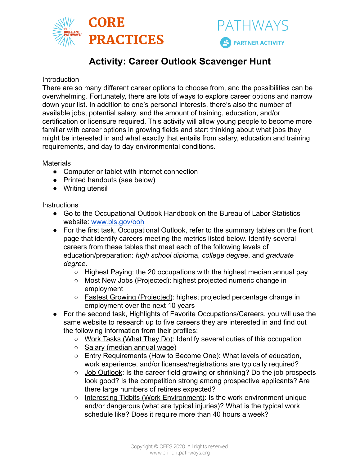

# **Activity: Career Outlook Scavenger Hunt**

### **Introduction**

There are so many different career options to choose from, and the possibilities can be overwhelming. Fortunately, there are lots of ways to explore career options and narrow down your list. In addition to one's personal interests, there's also the number of available jobs, potential salary, and the amount of training, education, and/or certification or licensure required. This activity will allow young people to become more familiar with career options in growing fields and start thinking about what jobs they might be interested in and what exactly that entails from salary, education and training requirements, and day to day environmental conditions.

**Materials** 

- Computer or tablet with internet connection
- Printed handouts (see below)
- Writing utensil

#### **Instructions**

- Go to the Occupational Outlook Handbook on the Bureau of Labor Statistics website: [www.bls.gov/ooh](http://www.bls.gov/ooh)
- For the first task, Occupational Outlook, refer to the summary tables on the front page that identify careers meeting the metrics listed below. Identify several careers from these tables that meet each of the following levels of education/preparation: *high school diplo*ma, *college degre*e, and *graduate degree*.
	- Highest Paying: the 20 occupations with the highest median annual pay
	- Most New Jobs (Projected): highest projected numeric change in employment
	- Fastest Growing (Projected): highest projected percentage change in employment over the next 10 years
- For the second task, Highlights of Favorite Occupations/Careers, you will use the same website to research up to five careers they are interested in and find out the following information from their profiles:
	- Work Tasks (What They Do): Identify several duties of this occupation
	- Salary (median annual wage)
	- Entry Requirements (How to Become One): What levels of education, work experience, and/or licenses/registrations are typically required?
	- Job Outlook: Is the career field growing or shrinking? Do the job prospects look good? Is the competition strong among prospective applicants? Are there large numbers of retirees expected?
	- Interesting Tidbits (Work Environment): Is the work environment unique and/or dangerous (what are typical injuries)? What is the typical work schedule like? Does it require more than 40 hours a week?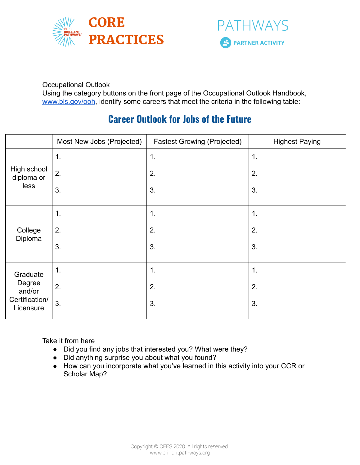



Occupational Outlook

Using the category buttons on the front page of the Occupational Outlook Handbook, [www.bls.gov/ooh](http://www.bls.gov/ooh), identify some careers that meet the criteria in the following table:

# **Career Outlook for Jobs of the Future**

|                                                             | Most New Jobs (Projected) | <b>Fastest Growing (Projected)</b> | <b>Highest Paying</b> |
|-------------------------------------------------------------|---------------------------|------------------------------------|-----------------------|
| High school<br>diploma or<br>less                           | 1.                        | 1.                                 | $\mathbf 1$           |
|                                                             | 2.                        | 2.                                 | 2.                    |
|                                                             | 3.                        | 3.                                 | 3.                    |
| College<br>Diploma                                          | 1.                        | $\mathbf 1$ .                      | 1.                    |
|                                                             | 2.                        | 2.                                 | 2.                    |
|                                                             | 3.                        | 3.                                 | 3.                    |
| Graduate<br>Degree<br>and/or<br>Certification/<br>Licensure | $\mathbf 1$ .             | 1.                                 | 1.                    |
|                                                             | 2.                        | 2.                                 | 2.                    |
|                                                             | 3.                        | 3.                                 | 3.                    |

Take it from here

- Did you find any jobs that interested you? What were they?
- Did anything surprise you about what you found?
- How can you incorporate what you've learned in this activity into your CCR or Scholar Map?